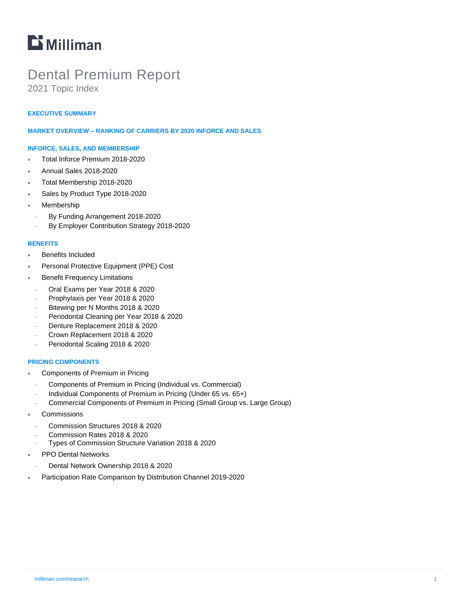# **Li** Milliman

# Dental Premium Report

2021 Topic Index

### **EXECUTIVE SUMMARY**

#### **MARKET OVERVIEW – RANKING OF CARRIERS BY 2020 INFORCE AND SALES**

#### **INFORCE, SALES, AND MEMBERSHIP**

- Total Inforce Premium 2018-2020
- Annual Sales 2018-2020
- Total Membership 2018-2020
- Sales by Product Type 2018-2020
- Membership
	- <sup>−</sup> By Funding Arrangement 2018-2020
	- <sup>−</sup> By Employer Contribution Strategy 2018-2020

#### **BENEFITS**

- Benefits Included
- Personal Protective Equipment (PPE) Cost
- Benefit Frequency Limitations
- <sup>−</sup> Oral Exams per Year 2018 & 2020
- <sup>−</sup> Prophylaxis per Year 2018 & 2020
- <sup>−</sup> Bitewing per N Months 2018 & 2020
- <sup>−</sup> Periodontal Cleaning per Year 2018 & 2020
- <sup>−</sup> Denture Replacement 2018 & 2020
- <sup>−</sup> Crown Replacement 2018 & 2020
- <sup>−</sup> Periodontal Scaling 2018 & 2020

#### **PRICING COMPONENTS**

- Components of Premium in Pricing
- <sup>−</sup> Components of Premium in Pricing (Individual vs. Commercial)
- <sup>−</sup> Individual Components of Premium in Pricing (Under 65 vs. 65+)
- <sup>−</sup> Commercial Components of Premium in Pricing (Small Group vs. Large Group)
- **Commissions** 
	- <sup>−</sup> Commission Structures 2018 & 2020
	- <sup>−</sup> Commission Rates 2018 & 2020
	- <sup>−</sup> Types of Commission Structure Variation 2018 & 2020
- PPO Dental Networks
- <sup>−</sup> Dental Network Ownership 2018 & 2020
- Participation Rate Comparison by Distribution Channel 2019-2020